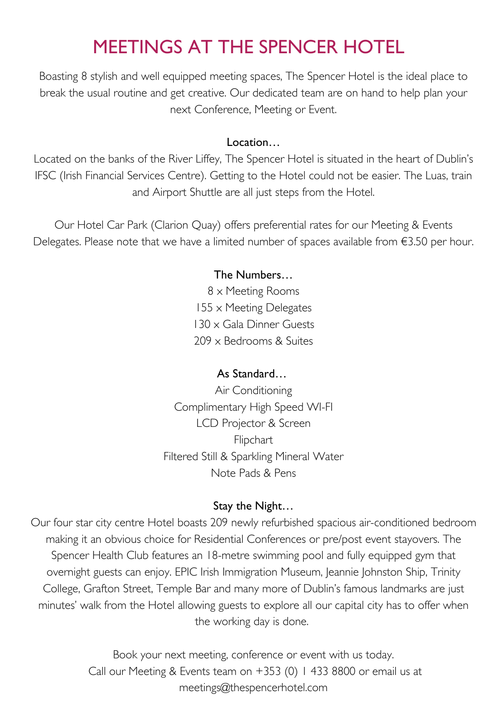## MEETINGS AT THE SPENCER HOTEL

Boasting 8 stylish and well equipped meeting spaces, The Spencer Hotel is the ideal place to break the usual routine and get creative. Our dedicated team are on hand to help plan your next Conference, Meeting or Event.

#### Location…

Located on the banks of the River Liffey, The Spencer Hotel is situated in the heart of Dublin's IFSC (Irish Financial Services Centre). Getting to the Hotel could not be easier. The Luas, train and Airport Shuttle are all just steps from the Hotel.

Our Hotel Car Park (Clarion Quay) offers preferential rates for our Meeting & Events Delegates. Please note that we have a limited number of spaces available from €3.50 per hour.

#### The Numbers…

 x Meeting Rooms x Meeting Delegates x Gala Dinner Guests x Bedrooms & Suites

#### As Standard…

Air Conditioning Complimentary High Speed WI-FI LCD Projector & Screen Flipchart Filtered Still & Sparkling Mineral Water Note Pads & Pens

#### Stay the Night…

Our four star city centre Hotel boasts 209 newly refurbished spacious air-conditioned bedroom making it an obvious choice for Residential Conferences or pre/post event stayovers. The Spencer Health Club features an 18-metre swimming pool and fully equipped gym that overnight guests can enjoy. EPIC Irish Immigration Museum, Jeannie Johnston Ship, Trinity College, Grafton Street, Temple Bar and many more of Dublin's famous landmarks are just minutes' walk from the Hotel allowing guests to explore all our capital city has to offer when the working day is done.

> Book your next meeting, conference or event with us today. Call our Meeting & Events team on +353 (0) 1 433 8800 or email us at [meetings@thespencerhotel.com](mailto:meetings@thespencerhotel.com)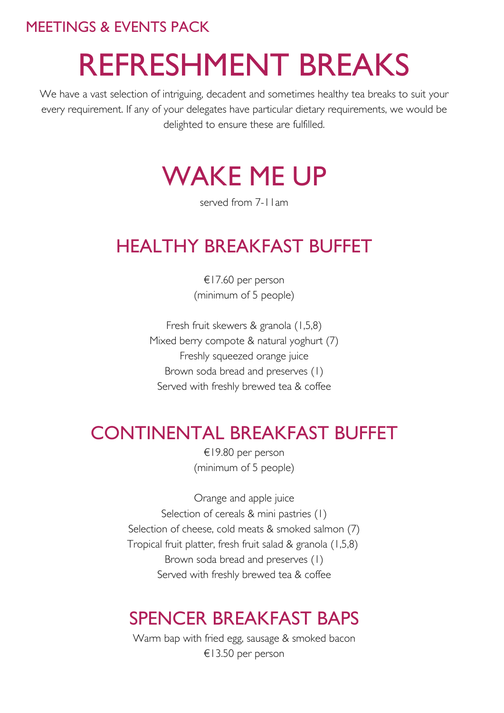# REFRESHMENT BREAKS

We have a vast selection of intriguing, decadent and sometimes healthy tea breaks to suit your every requirement. If any of your delegates have particular dietary requirements, we would be delighted to ensure these are fulfilled.

# WAKE ME UP

served from 7-11am

## HEALTHY BREAKFAST BUFFET

€17.60 per person (minimum of 5 people)

Fresh fruit skewers & granola (1,5,8) Mixed berry compote & natural yoghurt (7) Freshly squeezed orange juice Brown soda bread and preserves (1) Served with freshly brewed tea & coffee

## CONTINENTAL BREAKFAST BUFFET

€19.80 per person (minimum of 5 people)

Orange and apple juice Selection of cereals & mini pastries (1) Selection of cheese, cold meats & smoked salmon (7) Tropical fruit platter, fresh fruit salad & granola (1,5,8) Brown soda bread and preserves (1) Served with freshly brewed tea & coffee

## SPENCER BREAKFAST BAPS

Warm bap with fried egg, sausage & smoked bacon €13.50 per person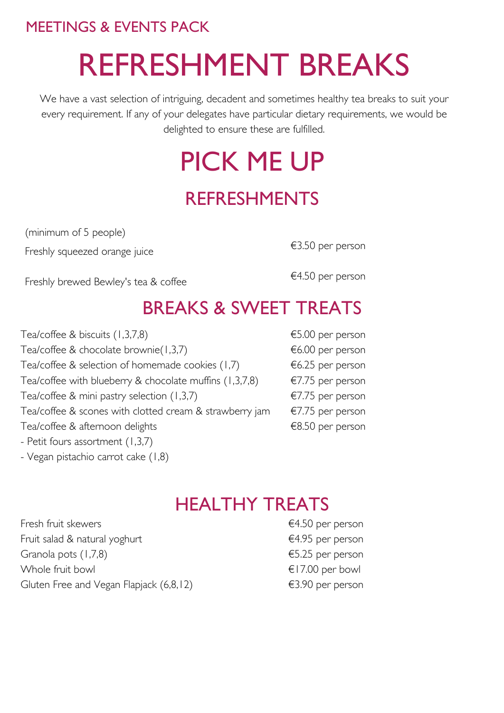# REFRESHMENT BREAKS

We have a vast selection of intriguing, decadent and sometimes healthy tea breaks to suit your every requirement. If any of your delegates have particular dietary requirements, we would be delighted to ensure these are fulfilled.

# PICK ME UP REFRESHMENTS

(minimum of 5 people) Freshly squeezed orange juice

€3.50 per person

Freshly brewed Bewley's tea & coffee

€4.50 per person

## BREAKS & SWEET TREATS

| Tea/coffee & biscuits (1,3,7,8)                           |
|-----------------------------------------------------------|
| Tea/coffee & chocolate brownie $(1,3,7)$                  |
| Tea/coffee & selection of homemade cookies (1,7)          |
| Tea/coffee with blueberry & chocolate muffins $(1,3,7,8)$ |
| Tea/coffee & mini pastry selection (1,3,7)                |
| Tea/coffee & scones with clotted cream & strawberry jam   |
| Tea/coffee & afternoon delights                           |
| - Petit fours assortment (1,3,7)                          |
| - Vegan pistachio carrot cake (1,8)                       |

|  | €5.00 per person |
|--|------------------|
|  | €6.00 per person |
|  | €6.25 per person |
|  | €7.75 per person |
|  | €7.75 per person |
|  | €7.75 per person |
|  | €8.50 per person |

## HEALTHY TREATS

Fresh fruit skewers Fruit salad & natural yoghurt Granola pots (1,7,8) Whole fruit bowl Gluten Free and Vegan Flapjack (6,8,12)

€4.50 per person €4.95 per person €5.25 per person €17.00 per bowl €3.90 per person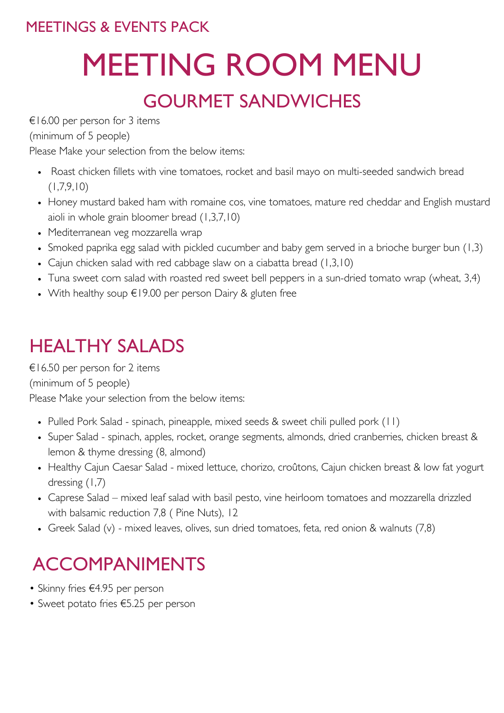# MEETING ROOM MENU

## GOURMET SANDWICHES

€16.00 per person for 3 items

(minimum of 5 people)

Please Make your selection from the below items:

- Roast chicken fillets with vine tomatoes, rocket and basil mayo on multi-seeded sandwich bread  $(1,7,9,10)$
- Honey mustard baked ham with romaine cos, vine tomatoes, mature red cheddar and English mustard aioli in whole grain bloomer bread (1,3,7,10)
- Mediterranean veg mozzarella wrap
- Smoked paprika egg salad with pickled cucumber and baby gem served in a brioche burger bun (1,3)
- Cajun chicken salad with red cabbage slaw on a ciabatta bread (1,3,10)
- Tuna sweet corn salad with roasted red sweet bell peppers in a sun-dried tomato wrap (wheat, 3,4)
- With healthy soup €19.00 per person Dairy & gluten free

## HEALTHY SALADS

€16.50 per person for 2 items

(minimum of 5 people)

Please Make your selection from the below items:

- Pulled Pork Salad spinach, pineapple, mixed seeds & sweet chili pulled pork (11)
- Super Salad spinach, apples, rocket, orange segments, almonds, dried cranberries, chicken breast & lemon & thyme dressing (8, almond)
- Healthy Cajun Caesar Salad mixed lettuce, chorizo, croûtons, Cajun chicken breast & low fat yogurt dressing (1,7)
- Caprese Salad mixed leaf salad with basil pesto, vine heirloom tomatoes and mozzarella drizzled with balsamic reduction 7,8 ( Pine Nuts), 12
- Greek Salad (v) mixed leaves, olives, sun dried tomatoes, feta, red onion & walnuts (7,8)

# ACCOMPANIMENTS

- Skinny fries €4.95 per person
- Sweet potato fries €5.25 per person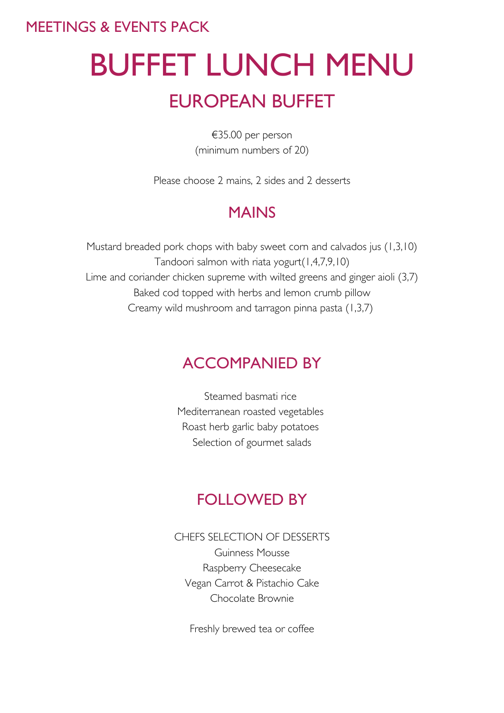# BUFFET LUNCH MENU EUROPEAN BUFFET

€35.00 per person (minimum numbers of 20)

Please choose 2 mains, 2 sides and 2 desserts

## MAINS

Mustard breaded pork chops with baby sweet corn and calvados jus (1,3,10) Tandoori salmon with riata yogurt(1,4,7,9,10) Lime and coriander chicken supreme with wilted greens and ginger aioli (3,7) Baked cod topped with herbs and lemon crumb pillow Creamy wild mushroom and tarragon pinna pasta (1,3,7)

## ACCOMPANIED BY

Steamed basmati rice Mediterranean roasted vegetables Roast herb garlic baby potatoes Selection of gourmet salads

### FOLLOWED BY

CHEFS SELECTION OF DESSERTS

Guinness Mousse Raspberry Cheesecake Vegan Carrot & Pistachio Cake Chocolate Brownie

Freshly brewed tea or coffee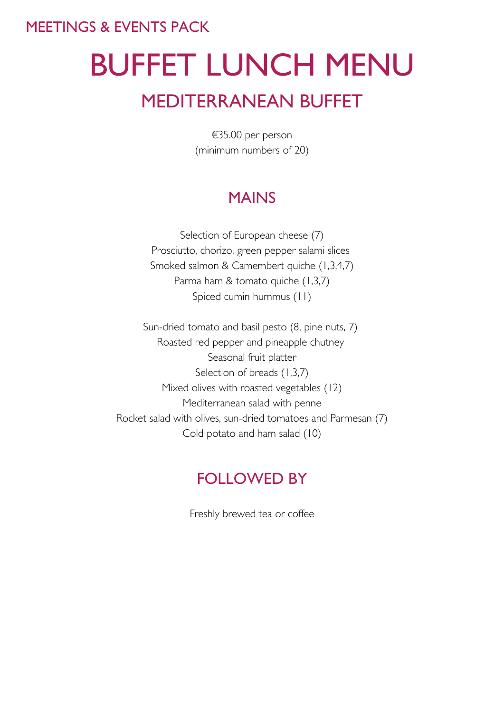# BUFFET LUNCH MENU MEDITERRANEAN BUFFET

€35.00 per person (minimum numbers of 20)

## MAINS

Selection of European cheese (7) Prosciutto, chorizo, green pepper salami slices Smoked salmon & Camembert quiche (1,3,4,7) Parma ham & tomato quiche (1,3,7) Spiced cumin hummus (11)

Sun-dried tomato and basil pesto (8, pine nuts, 7) Roasted red pepper and pineapple chutney Seasonal fruit platter Selection of breads (1,3,7) Mixed olives with roasted vegetables (12) Mediterranean salad with penne Rocket salad with olives, sun-dried tomatoes and Parmesan (7) Cold potato and ham salad (10)

## FOLLOWED BY

Freshly brewed tea or coffee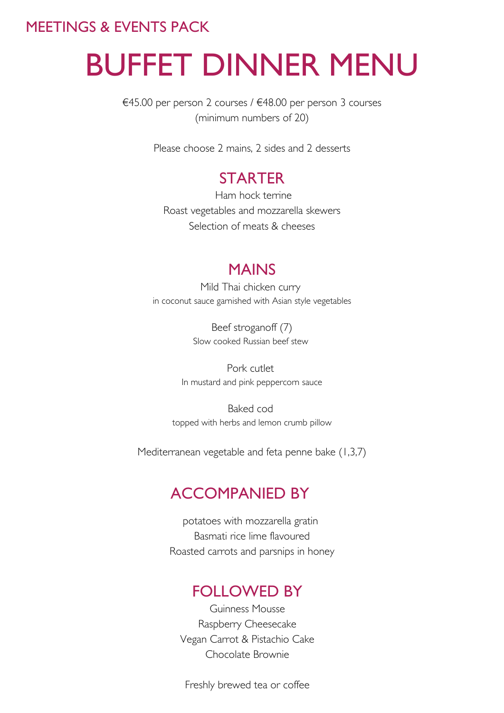# BUFFET DINNER MENU

€45.00 per person 2 courses / €48.00 per person 3 courses (minimum numbers of 20)

Please choose 2 mains, 2 sides and 2 desserts

### **STARTER**

Ham hock terrine Roast vegetables and mozzarella skewers Selection of meats & cheeses

#### MAINS

Mild Thai chicken curry in coconut sauce garnished with Asian style vegetables

> Beef stroganoff (7) Slow cooked Russian beef stew

Pork cutlet In mustard and pink peppercorn sauce

Baked cod topped with herbs and lemon crumb pillow

Mediterranean vegetable and feta penne bake (1,3,7)

### ACCOMPANIED BY

potatoes with mozzarella gratin Basmati rice lime flavoured Roasted carrots and parsnips in honey

### FOLLOWED BY

Guinness Mousse Raspberry Cheesecake Vegan Carrot & Pistachio Cake Chocolate Brownie

Freshly brewed tea or coffee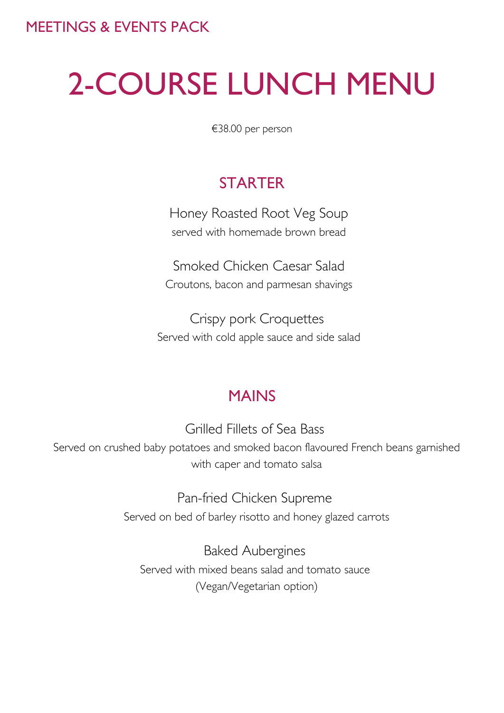# 2-COURSE LUNCH MENU

€38.00 per person

### **STARTER**

Honey Roasted Root Veg Soup served with homemade brown bread

Smoked Chicken Caesar Salad Croutons, bacon and parmesan shavings

Crispy pork Croquettes Served with cold apple sauce and side salad

### MAINS

Grilled Fillets of Sea Bass Served on crushed baby potatoes and smoked bacon flavoured French beans garnished with caper and tomato salsa

> Pan-fried Chicken Supreme Served on bed of barley risotto and honey glazed carrots

Baked Aubergines Served with mixed beans salad and tomato sauce (Vegan/Vegetarian option)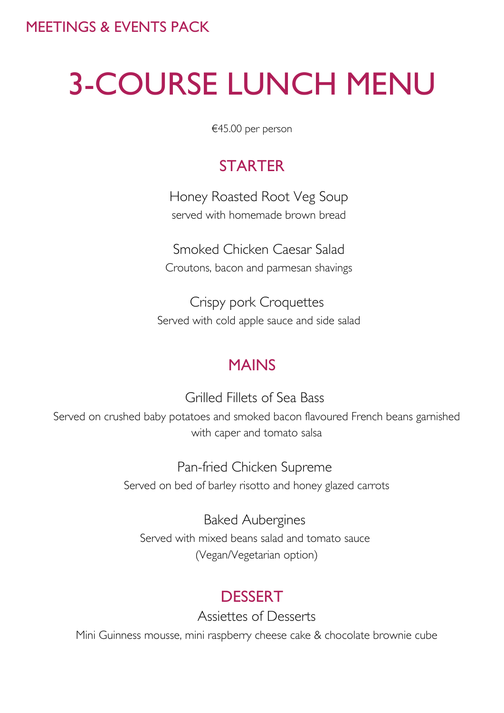# 3-COURSE LUNCH MENU

€45.00 per person

## **STARTER**

Honey Roasted Root Veg Soup served with homemade brown bread

Smoked Chicken Caesar Salad Croutons, bacon and parmesan shavings

Crispy pork Croquettes Served with cold apple sauce and side salad

### MAINS

Grilled Fillets of Sea Bass Served on crushed baby potatoes and smoked bacon flavoured French beans garnished with caper and tomato salsa

> Pan-fried Chicken Supreme Served on bed of barley risotto and honey glazed carrots

Baked Aubergines Served with mixed beans salad and tomato sauce (Vegan/Vegetarian option)

### DESSERT

Assiettes of Desserts

Mini Guinness mousse, mini raspberry cheese cake & chocolate brownie cube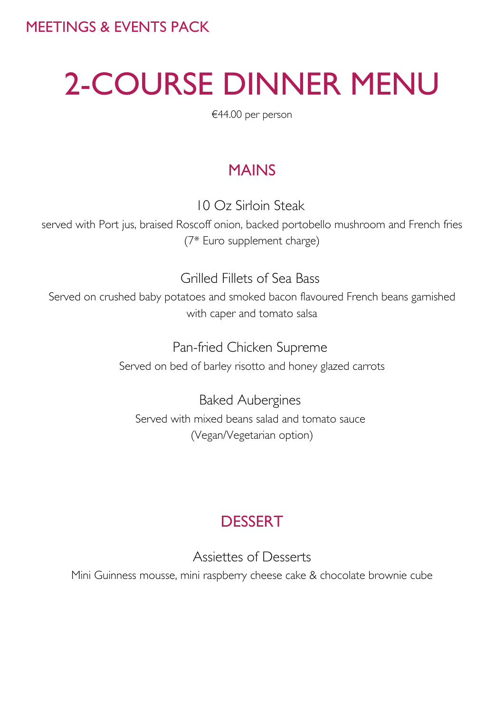# 2-COURSE DINNER MENU

€44.00 per person

## MAINS

10 Oz Sirloin Steak

served with Port jus, braised Roscoff onion, backed portobello mushroom and French fries (7\* Euro supplement charge)

Grilled Fillets of Sea Bass

Served on crushed baby potatoes and smoked bacon flavoured French beans garnished with caper and tomato salsa

> Pan-fried Chicken Supreme Served on bed of barley risotto and honey glazed carrots

Baked Aubergines Served with mixed beans salad and tomato sauce (Vegan/Vegetarian option)

## **DESSERT**

Assiettes of Desserts

Mini Guinness mousse, mini raspberry cheese cake & chocolate brownie cube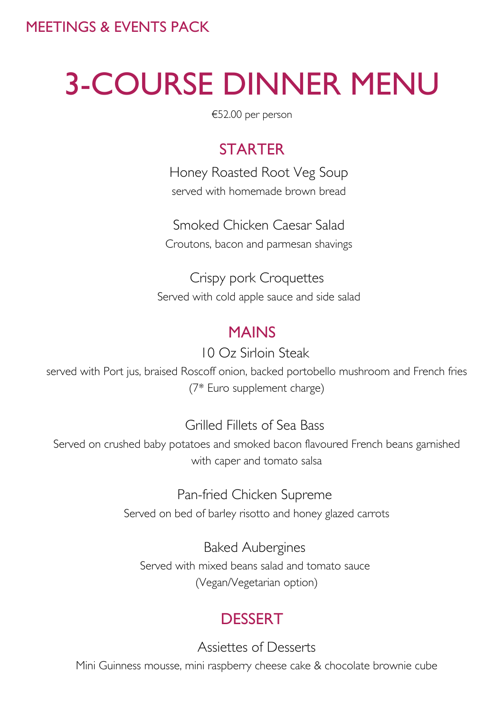# 3-COURSE DINNER MENU

€52.00 per person

### **STARTER**

Honey Roasted Root Veg Soup served with homemade brown bread

Smoked Chicken Caesar Salad Croutons, bacon and parmesan shavings

Crispy pork Croquettes Served with cold apple sauce and side salad

### MAINS

#### 10 Oz Sirloin Steak

served with Port jus, braised Roscoff onion, backed portobello mushroom and French fries (7\* Euro supplement charge)

#### Grilled Fillets of Sea Bass

Served on crushed baby potatoes and smoked bacon flavoured French beans garnished with caper and tomato salsa

#### Pan-fried Chicken Supreme

Served on bed of barley risotto and honey glazed carrots

Baked Aubergines Served with mixed beans salad and tomato sauce (Vegan/Vegetarian option)

### **DESSERT**

Assiettes of Desserts

Mini Guinness mousse, mini raspberry cheese cake & chocolate brownie cube